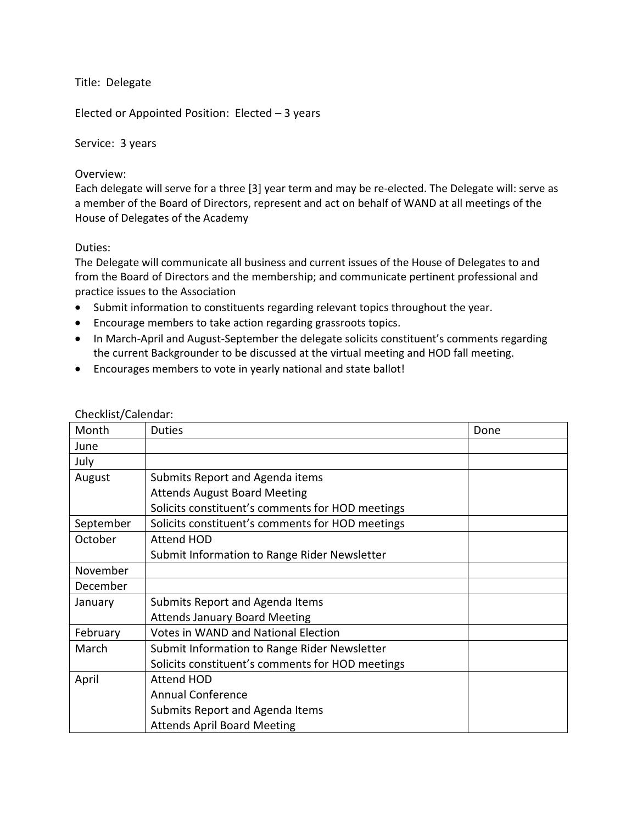Title: Delegate

Elected or Appointed Position: Elected – 3 years

Service: 3 years

#### Overview:

Each delegate will serve for a three [3] year term and may be re-elected. The Delegate will: serve as a member of the Board of Directors, represent and act on behalf of WAND at all meetings of the House of Delegates of the Academy

# Duties:

The Delegate will communicate all business and current issues of the House of Delegates to and from the Board of Directors and the membership; and communicate pertinent professional and practice issues to the Association

- Submit information to constituents regarding relevant topics throughout the year.
- Encourage members to take action regarding grassroots topics.
- In March-April and August-September the delegate solicits constituent's comments regarding the current Backgrounder to be discussed at the virtual meeting and HOD fall meeting.
- Encourages members to vote in yearly national and state ballot!

| Month     | <b>Duties</b>                                    | Done |
|-----------|--------------------------------------------------|------|
| June      |                                                  |      |
| July      |                                                  |      |
| August    | Submits Report and Agenda items                  |      |
|           | <b>Attends August Board Meeting</b>              |      |
|           | Solicits constituent's comments for HOD meetings |      |
| September | Solicits constituent's comments for HOD meetings |      |
| October   | Attend HOD                                       |      |
|           | Submit Information to Range Rider Newsletter     |      |
| November  |                                                  |      |
| December  |                                                  |      |
| January   | Submits Report and Agenda Items                  |      |
|           | <b>Attends January Board Meeting</b>             |      |
| February  | <b>Votes in WAND and National Election</b>       |      |
| March     | Submit Information to Range Rider Newsletter     |      |
|           | Solicits constituent's comments for HOD meetings |      |
| April     | <b>Attend HOD</b>                                |      |
|           | <b>Annual Conference</b>                         |      |
|           | Submits Report and Agenda Items                  |      |
|           | <b>Attends April Board Meeting</b>               |      |

#### Checklist/Calendar: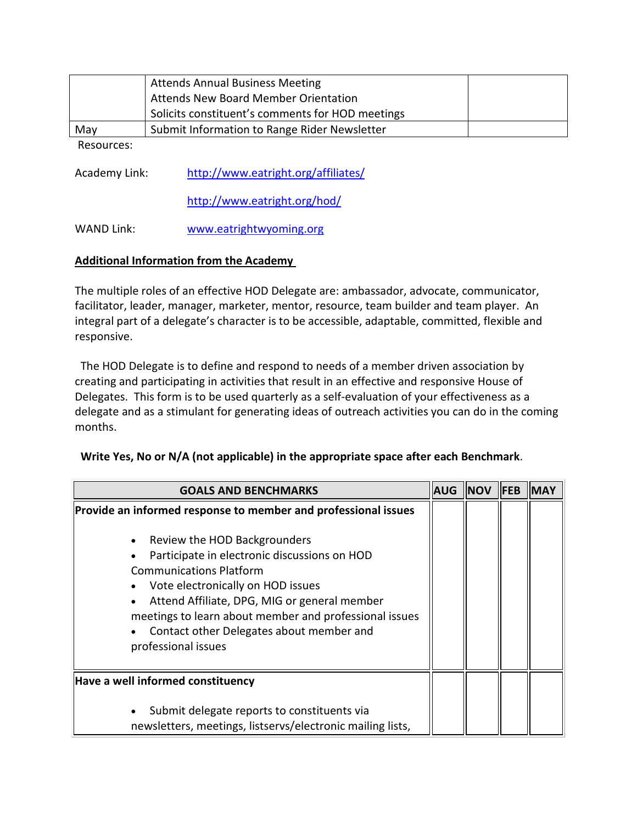|     | <b>Attends Annual Business Meeting</b><br>Attends New Board Member Orientation |  |
|-----|--------------------------------------------------------------------------------|--|
|     | Solicits constituent's comments for HOD meetings                               |  |
| May | Submit Information to Range Rider Newsletter                                   |  |
| -   |                                                                                |  |

Resources:

Academy Link: http://www.eatright.org/affiliates/

http://www.eatright.org/hod/

WAND Link: www.eatrightwyoming.org

# **Additional Information from the Academy**

The multiple roles of an effective HOD Delegate are: ambassador, advocate, communicator, facilitator, leader, manager, marketer, mentor, resource, team builder and team player. An integral part of a delegate's character is to be accessible, adaptable, committed, flexible and responsive.

 The HOD Delegate is to define and respond to needs of a member driven association by creating and participating in activities that result in an effective and responsive House of Delegates. This form is to be used quarterly as a self-evaluation of your effectiveness as a delegate and as a stimulant for generating ideas of outreach activities you can do in the coming months.

#### **Write Yes, No or N/A (not applicable) in the appropriate space after each Benchmark**.

| <b>GOALS AND BENCHMARKS</b>                                                                                                                                                                                                                                                                                                                                                                                                                            | <b>AUG</b> | <b>NOV</b> | <b>IFEB</b> | <b>INAY</b> |
|--------------------------------------------------------------------------------------------------------------------------------------------------------------------------------------------------------------------------------------------------------------------------------------------------------------------------------------------------------------------------------------------------------------------------------------------------------|------------|------------|-------------|-------------|
| Provide an informed response to member and professional issues<br>Review the HOD Backgrounders<br>$\bullet$<br>Participate in electronic discussions on HOD<br>$\bullet$<br><b>Communications Platform</b><br>Vote electronically on HOD issues<br>$\bullet$<br>Attend Affiliate, DPG, MIG or general member<br>meetings to learn about member and professional issues<br>Contact other Delegates about member and<br>$\bullet$<br>professional issues |            |            |             |             |
| Have a well informed constituency                                                                                                                                                                                                                                                                                                                                                                                                                      |            |            |             |             |
| Submit delegate reports to constituents via<br>$\bullet$<br>newsletters, meetings, listservs/electronic mailing lists,                                                                                                                                                                                                                                                                                                                                 |            |            |             |             |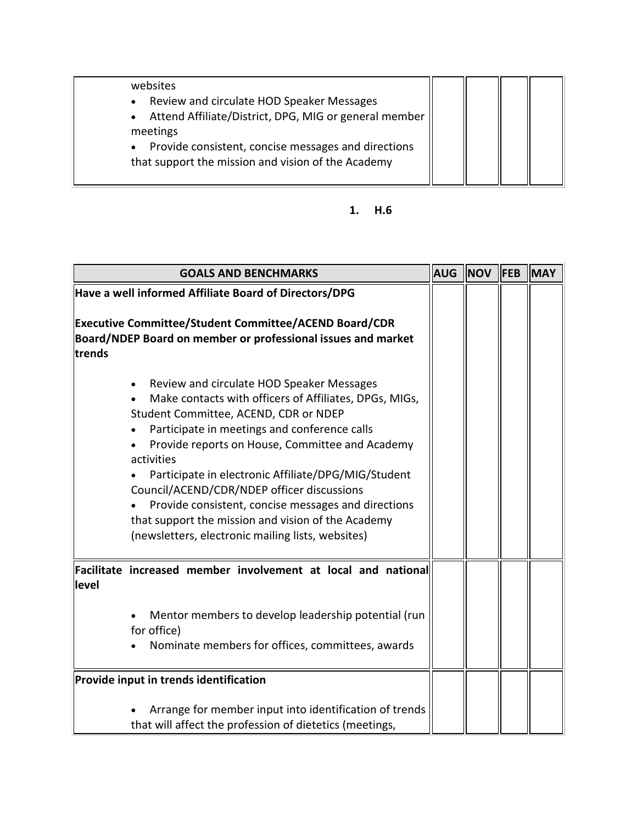websites

- Review and circulate HOD Speaker Messages
- Attend Affiliate/District, DPG, MIG or general member meetings
- Provide consistent, concise messages and directions that support the mission and vision of the Academy

# **1. H.6**

| <b>GOALS AND BENCHMARKS</b>                                                                                                                                                                                                                                                                                                                                                                                                                                                                                                          |  | <b>NOV</b> | <b>IFEB</b> | <b>MAY</b> |
|--------------------------------------------------------------------------------------------------------------------------------------------------------------------------------------------------------------------------------------------------------------------------------------------------------------------------------------------------------------------------------------------------------------------------------------------------------------------------------------------------------------------------------------|--|------------|-------------|------------|
| Have a well informed Affiliate Board of Directors/DPG                                                                                                                                                                                                                                                                                                                                                                                                                                                                                |  |            |             |            |
| Executive Committee/Student Committee/ACEND Board/CDR<br>Board/NDEP Board on member or professional issues and market<br>trends                                                                                                                                                                                                                                                                                                                                                                                                      |  |            |             |            |
| Review and circulate HOD Speaker Messages<br>Make contacts with officers of Affiliates, DPGs, MIGs,<br>Student Committee, ACEND, CDR or NDEP<br>Participate in meetings and conference calls<br>Provide reports on House, Committee and Academy<br>activities<br>Participate in electronic Affiliate/DPG/MIG/Student<br>Council/ACEND/CDR/NDEP officer discussions<br>Provide consistent, concise messages and directions<br>that support the mission and vision of the Academy<br>(newsletters, electronic mailing lists, websites) |  |            |             |            |
| Facilitate increased member involvement at local and national<br>level<br>Mentor members to develop leadership potential (run                                                                                                                                                                                                                                                                                                                                                                                                        |  |            |             |            |
| for office)<br>Nominate members for offices, committees, awards                                                                                                                                                                                                                                                                                                                                                                                                                                                                      |  |            |             |            |
| Provide input in trends identification                                                                                                                                                                                                                                                                                                                                                                                                                                                                                               |  |            |             |            |
| Arrange for member input into identification of trends<br>that will affect the profession of dietetics (meetings,                                                                                                                                                                                                                                                                                                                                                                                                                    |  |            |             |            |